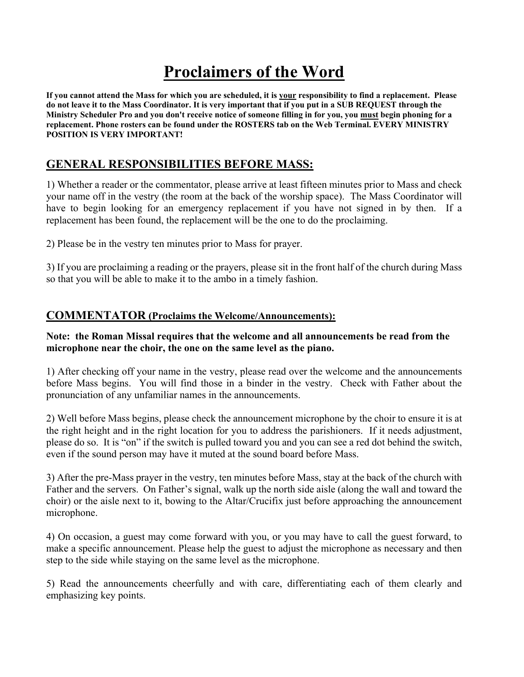# **Proclaimers of the Word**

**If you cannot attend the Mass for which you are scheduled, it is your responsibility to find a replacement. Please do not leave it to the Mass Coordinator. It is very important that if you put in a SUB REQUEST through the Ministry Scheduler Pro and you don't receive notice of someone filling in for you, you must begin phoning for a replacement. Phone rosters can be found under the ROSTERS tab on the Web Terminal. EVERY MINISTRY POSITION IS VERY IMPORTANT!**

# **GENERAL RESPONSIBILITIES BEFORE MASS:**

1) Whether a reader or the commentator, please arrive at least fifteen minutes prior to Mass and check your name off in the vestry (the room at the back of the worship space). The Mass Coordinator will have to begin looking for an emergency replacement if you have not signed in by then. If a replacement has been found, the replacement will be the one to do the proclaiming.

2) Please be in the vestry ten minutes prior to Mass for prayer.

3) If you are proclaiming a reading or the prayers, please sit in the front half of the church during Mass so that you will be able to make it to the ambo in a timely fashion.

## **COMMENTATOR (Proclaims the Welcome/Announcements):**

#### **Note: the Roman Missal requires that the welcome and all announcements be read from the microphone near the choir, the one on the same level as the piano.**

1) After checking off your name in the vestry, please read over the welcome and the announcements before Mass begins. You will find those in a binder in the vestry. Check with Father about the pronunciation of any unfamiliar names in the announcements.

2) Well before Mass begins, please check the announcement microphone by the choir to ensure it is at the right height and in the right location for you to address the parishioners. If it needs adjustment, please do so. It is "on" if the switch is pulled toward you and you can see a red dot behind the switch, even if the sound person may have it muted at the sound board before Mass.

3) After the pre-Mass prayer in the vestry, ten minutes before Mass, stay at the back of the church with Father and the servers. On Father's signal, walk up the north side aisle (along the wall and toward the choir) or the aisle next to it, bowing to the Altar/Crucifix just before approaching the announcement microphone.

4) On occasion, a guest may come forward with you, or you may have to call the guest forward, to make a specific announcement. Please help the guest to adjust the microphone as necessary and then step to the side while staying on the same level as the microphone.

5) Read the announcements cheerfully and with care, differentiating each of them clearly and emphasizing key points.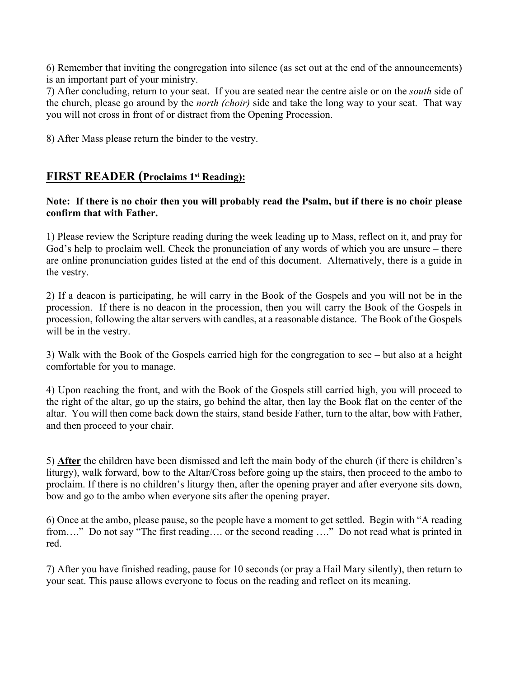6) Remember that inviting the congregation into silence (as set out at the end of the announcements) is an important part of your ministry.

7) After concluding, return to your seat. If you are seated near the centre aisle or on the *south* side of the church, please go around by the *north (choir)* side and take the long way to your seat. That way you will not cross in front of or distract from the Opening Procession.

8) After Mass please return the binder to the vestry.

## **FIRST READER (Proclaims 1st Reading):**

#### **Note: If there is no choir then you will probably read the Psalm, but if there is no choir please confirm that with Father.**

1) Please review the Scripture reading during the week leading up to Mass, reflect on it, and pray for God's help to proclaim well. Check the pronunciation of any words of which you are unsure – there are online pronunciation guides listed at the end of this document. Alternatively, there is a guide in the vestry.

2) If a deacon is participating, he will carry in the Book of the Gospels and you will not be in the procession. If there is no deacon in the procession, then you will carry the Book of the Gospels in procession, following the altar servers with candles, at a reasonable distance. The Book of the Gospels will be in the vestry.

3) Walk with the Book of the Gospels carried high for the congregation to see – but also at a height comfortable for you to manage.

4) Upon reaching the front, and with the Book of the Gospels still carried high, you will proceed to the right of the altar, go up the stairs, go behind the altar, then lay the Book flat on the center of the altar. You will then come back down the stairs, stand beside Father, turn to the altar, bow with Father, and then proceed to your chair.

5) **After** the children have been dismissed and left the main body of the church (if there is children's liturgy), walk forward, bow to the Altar/Cross before going up the stairs, then proceed to the ambo to proclaim. If there is no children's liturgy then, after the opening prayer and after everyone sits down, bow and go to the ambo when everyone sits after the opening prayer.

6) Once at the ambo, please pause, so the people have a moment to get settled. Begin with "A reading from…." Do not say "The first reading…. or the second reading …." Do not read what is printed in red.

7) After you have finished reading, pause for 10 seconds (or pray a Hail Mary silently), then return to your seat. This pause allows everyone to focus on the reading and reflect on its meaning.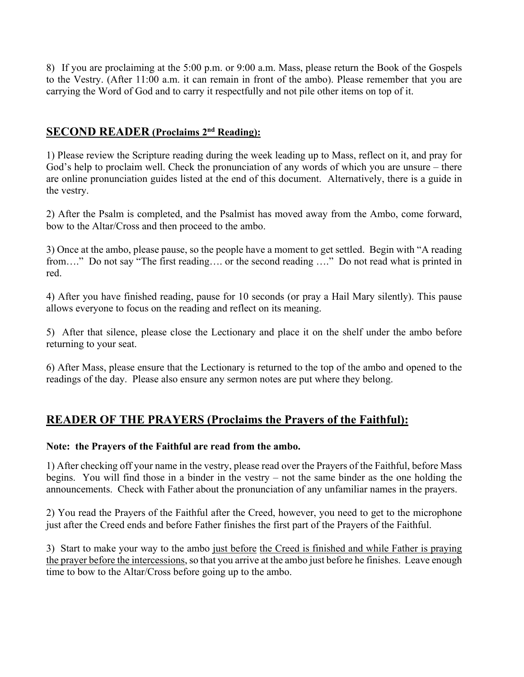8) If you are proclaiming at the 5:00 p.m. or 9:00 a.m. Mass, please return the Book of the Gospels to the Vestry. (After 11:00 a.m. it can remain in front of the ambo). Please remember that you are carrying the Word of God and to carry it respectfully and not pile other items on top of it.

## **SECOND READER (Proclaims 2nd Reading):**

1) Please review the Scripture reading during the week leading up to Mass, reflect on it, and pray for God's help to proclaim well. Check the pronunciation of any words of which you are unsure – there are online pronunciation guides listed at the end of this document. Alternatively, there is a guide in the vestry.

2) After the Psalm is completed, and the Psalmist has moved away from the Ambo, come forward, bow to the Altar/Cross and then proceed to the ambo.

3) Once at the ambo, please pause, so the people have a moment to get settled. Begin with "A reading from…." Do not say "The first reading…. or the second reading …." Do not read what is printed in red.

4) After you have finished reading, pause for 10 seconds (or pray a Hail Mary silently). This pause allows everyone to focus on the reading and reflect on its meaning.

5) After that silence, please close the Lectionary and place it on the shelf under the ambo before returning to your seat.

6) After Mass, please ensure that the Lectionary is returned to the top of the ambo and opened to the readings of the day. Please also ensure any sermon notes are put where they belong.

# **READER OF THE PRAYERS (Proclaims the Prayers of the Faithful):**

#### **Note: the Prayers of the Faithful are read from the ambo.**

1) After checking off your name in the vestry, please read over the Prayers of the Faithful, before Mass begins. You will find those in a binder in the vestry – not the same binder as the one holding the announcements. Check with Father about the pronunciation of any unfamiliar names in the prayers.

2) You read the Prayers of the Faithful after the Creed, however, you need to get to the microphone just after the Creed ends and before Father finishes the first part of the Prayers of the Faithful.

3) Start to make your way to the ambo just before the Creed is finished and while Father is praying the prayer before the intercessions, so that you arrive at the ambo just before he finishes. Leave enough time to bow to the Altar/Cross before going up to the ambo.